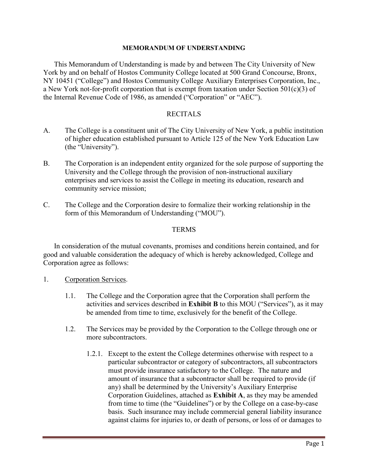#### **MEMORANDUM OF UNDERSTANDING**

This Memorandum of Understanding is made by and between The City University of New York by and on behalf of Hostos Community College located at 500 Grand Concourse, Bronx, NY 10451 ("College") and Hostos Community College Auxiliary Enterprises Corporation, Inc., a New York not-for-profit corporation that is exempt from taxation under Section 501(c)(3) of the Internal Revenue Code of 1986, as amended ("Corporation" or "AEC").

### RECITALS

- A. The College is a constituent unit of The City University of New York, a public institution of higher education established pursuant to Article 125 of the New York Education Law (the "University").
- B. The Corporation is an independent entity organized for the sole purpose of supporting the University and the College through the provision of non-instructional auxiliary enterprises and services to assist the College in meeting its education, research and community service mission;
- C. The College and the Corporation desire to formalize their working relationship in the form of this Memorandum of Understanding ("MOU").

#### **TERMS**

In consideration of the mutual covenants, promises and conditions herein contained, and for good and valuable consideration the adequacy of which is hereby acknowledged, College and Corporation agree as follows:

- 1. Corporation Services.
	- 1.1. The College and the Corporation agree that the Corporation shall perform the activities and services described in **Exhibit B** to this MOU ("Services"), as it may be amended from time to time, exclusively for the benefit of the College.
	- 1.2. The Services may be provided by the Corporation to the College through one or more subcontractors.
		- 1.2.1. Except to the extent the College determines otherwise with respect to a particular subcontractor or category of subcontractors, all subcontractors must provide insurance satisfactory to the College. The nature and amount of insurance that a subcontractor shall be required to provide (if any) shall be determined by the University's Auxiliary Enterprise Corporation Guidelines, attached as **Exhibit A**, as they may be amended from time to time (the "Guidelines") or by the College on a case-by-case basis. Such insurance may include commercial general liability insurance against claims for injuries to, or death of persons, or loss of or damages to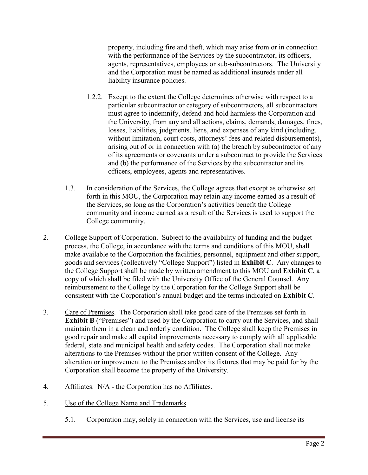property, including fire and theft, which may arise from or in connection with the performance of the Services by the subcontractor, its officers, agents, representatives, employees or sub-subcontractors. The University and the Corporation must be named as additional insureds under all liability insurance policies.

- 1.2.2. Except to the extent the College determines otherwise with respect to a particular subcontractor or category of subcontractors, all subcontractors must agree to indemnify, defend and hold harmless the Corporation and the University, from any and all actions, claims, demands, damages, fines, losses, liabilities, judgments, liens, and expenses of any kind (including, without limitation, court costs, attorneys' fees and related disbursements), arising out of or in connection with (a) the breach by subcontractor of any of its agreements or covenants under a subcontract to provide the Services and (b) the performance of the Services by the subcontractor and its officers, employees, agents and representatives.
- 1.3. In consideration of the Services, the College agrees that except as otherwise set forth in this MOU, the Corporation may retain any income earned as a result of the Services, so long as the Corporation's activities benefit the College community and income earned as a result of the Services is used to support the College community.
- 2. College Support of Corporation. Subject to the availability of funding and the budget process, the College, in accordance with the terms and conditions of this MOU, shall make available to the Corporation the facilities, personnel, equipment and other support, goods and services (collectively "College Support") listed in **Exhibit C**. Any changes to the College Support shall be made by written amendment to this MOU and **Exhibit C**, a copy of which shall be filed with the University Office of the General Counsel. Any reimbursement to the College by the Corporation for the College Support shall be consistent with the Corporation's annual budget and the terms indicated on **Exhibit C**.
- 3. Care of Premises. The Corporation shall take good care of the Premises set forth in **Exhibit B** ("Premises") and used by the Corporation to carry out the Services, and shall maintain them in a clean and orderly condition. The College shall keep the Premises in good repair and make all capital improvements necessary to comply with all applicable federal, state and municipal health and safety codes. The Corporation shall not make alterations to the Premises without the prior written consent of the College. Any alteration or improvement to the Premises and/or its fixtures that may be paid for by the Corporation shall become the property of the University.
- 4. Affiliates. N/A the Corporation has no Affiliates.
- 5. Use of the College Name and Trademarks.
	- 5.1. Corporation may, solely in connection with the Services, use and license its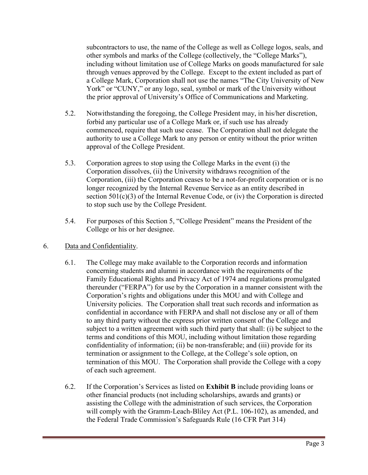subcontractors to use, the name of the College as well as College logos, seals, and other symbols and marks of the College (collectively, the "College Marks"), including without limitation use of College Marks on goods manufactured for sale through venues approved by the College. Except to the extent included as part of a College Mark, Corporation shall not use the names "The City University of New York" or "CUNY," or any logo, seal, symbol or mark of the University without the prior approval of University's Office of Communications and Marketing.

- 5.2. Notwithstanding the foregoing, the College President may, in his/her discretion, forbid any particular use of a College Mark or, if such use has already commenced, require that such use cease. The Corporation shall not delegate the authority to use a College Mark to any person or entity without the prior written approval of the College President.
- 5.3. Corporation agrees to stop using the College Marks in the event (i) the Corporation dissolves, (ii) the University withdraws recognition of the Corporation, (iii) the Corporation ceases to be a not-for-profit corporation or is no longer recognized by the Internal Revenue Service as an entity described in section 501(c)(3) of the Internal Revenue Code, or (iv) the Corporation is directed to stop such use by the College President.
- 5.4. For purposes of this Section 5, "College President" means the President of the College or his or her designee.
- 6. Data and Confidentiality.
	- 6.1. The College may make available to the Corporation records and information concerning students and alumni in accordance with the requirements of the Family Educational Rights and Privacy Act of 1974 and regulations promulgated thereunder ("FERPA") for use by the Corporation in a manner consistent with the Corporation's rights and obligations under this MOU and with College and University policies. The Corporation shall treat such records and information as confidential in accordance with FERPA and shall not disclose any or all of them to any third party without the express prior written consent of the College and subject to a written agreement with such third party that shall: (i) be subject to the terms and conditions of this MOU, including without limitation those regarding confidentiality of information; (ii) be non-transferable; and (iii) provide for its termination or assignment to the College, at the College's sole option, on termination of this MOU. The Corporation shall provide the College with a copy of each such agreement.
	- 6.2. If the Corporation's Services as listed on **Exhibit B** include providing loans or other financial products (not including scholarships, awards and grants) or assisting the College with the administration of such services, the Corporation will comply with the Gramm-Leach-Bliley Act (P.L. 106-102), as amended, and the Federal Trade Commission's Safeguards Rule (16 CFR Part 314)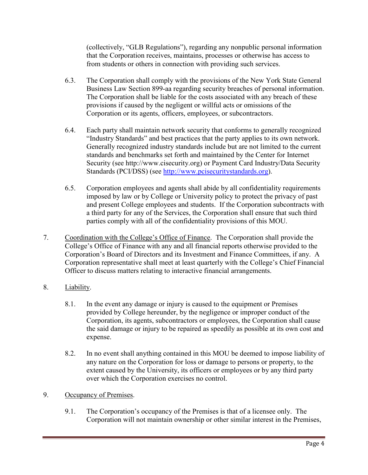(collectively, "GLB Regulations"), regarding any nonpublic personal information that the Corporation receives, maintains, processes or otherwise has access to from students or others in connection with providing such services.

- 6.3. The Corporation shall comply with the provisions of the New York State General Business Law Section 899-aa regarding security breaches of personal information. The Corporation shall be liable for the costs associated with any breach of these provisions if caused by the negligent or willful acts or omissions of the Corporation or its agents, officers, employees, or subcontractors.
- 6.4. Each party shall maintain network security that conforms to generally recognized "Industry Standards" and best practices that the party applies to its own network. Generally recognized industry standards include but are not limited to the current standards and benchmarks set forth and maintained by the Center for Internet Security (see http://www.cisecurity.org) or Payment Card Industry/Data Security Standards (PCI/DSS) (see [http://www.pcisecuritystandards.org\)](http://www.pcisecuritystandards.org/).
- 6.5. Corporation employees and agents shall abide by all confidentiality requirements imposed by law or by College or University policy to protect the privacy of past and present College employees and students. If the Corporation subcontracts with a third party for any of the Services, the Corporation shall ensure that such third parties comply with all of the confidentiality provisions of this MOU.
- 7. Coordination with the College's Office of Finance. The Corporation shall provide the College's Office of Finance with any and all financial reports otherwise provided to the Corporation's Board of Directors and its Investment and Finance Committees, if any. A Corporation representative shall meet at least quarterly with the College's Chief Financial Officer to discuss matters relating to interactive financial arrangements.
- 8. Liability.
	- 8.1. In the event any damage or injury is caused to the equipment or Premises provided by College hereunder, by the negligence or improper conduct of the Corporation, its agents, subcontractors or employees, the Corporation shall cause the said damage or injury to be repaired as speedily as possible at its own cost and expense.
	- 8.2. In no event shall anything contained in this MOU be deemed to impose liability of any nature on the Corporation for loss or damage to persons or property, to the extent caused by the University, its officers or employees or by any third party over which the Corporation exercises no control.

## 9. Occupancy of Premises.

9.1. The Corporation's occupancy of the Premises is that of a licensee only. The Corporation will not maintain ownership or other similar interest in the Premises,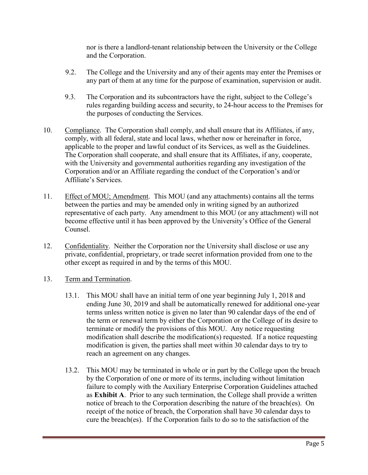nor is there a landlord-tenant relationship between the University or the College and the Corporation.

- 9.2. The College and the University and any of their agents may enter the Premises or any part of them at any time for the purpose of examination, supervision or audit.
- 9.3. The Corporation and its subcontractors have the right, subject to the College's rules regarding building access and security, to 24-hour access to the Premises for the purposes of conducting the Services.
- 10. Compliance. The Corporation shall comply, and shall ensure that its Affiliates, if any, comply, with all federal, state and local laws, whether now or hereinafter in force, applicable to the proper and lawful conduct of its Services, as well as the Guidelines. The Corporation shall cooperate, and shall ensure that its Affiliates, if any, cooperate, with the University and governmental authorities regarding any investigation of the Corporation and/or an Affiliate regarding the conduct of the Corporation's and/or Affiliate's Services.
- 11. Effect of MOU; Amendment. This MOU (and any attachments) contains all the terms between the parties and may be amended only in writing signed by an authorized representative of each party. Any amendment to this MOU (or any attachment) will not become effective until it has been approved by the University's Office of the General Counsel.
- 12. Confidentiality. Neither the Corporation nor the University shall disclose or use any private, confidential, proprietary, or trade secret information provided from one to the other except as required in and by the terms of this MOU.
- 13. Term and Termination.
	- 13.1. This MOU shall have an initial term of one year beginning July 1, 2018 and ending June 30, 2019 and shall be automatically renewed for additional one-year terms unless written notice is given no later than 90 calendar days of the end of the term or renewal term by either the Corporation or the College of its desire to terminate or modify the provisions of this MOU. Any notice requesting modification shall describe the modification(s) requested. If a notice requesting modification is given, the parties shall meet within 30 calendar days to try to reach an agreement on any changes.
	- 13.2. This MOU may be terminated in whole or in part by the College upon the breach by the Corporation of one or more of its terms, including without limitation failure to comply with the Auxiliary Enterprise Corporation Guidelines attached as **Exhibit A**. Prior to any such termination, the College shall provide a written notice of breach to the Corporation describing the nature of the breach(es). On receipt of the notice of breach, the Corporation shall have 30 calendar days to cure the breach(es). If the Corporation fails to do so to the satisfaction of the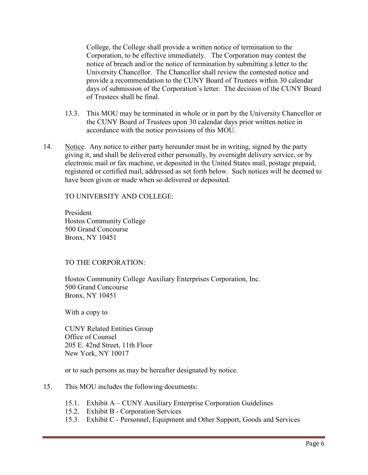College, the College shall provide a written notice of termination to the Corporation, to be effective immediately. The Corporation may contest the notice of breach and/or the notice of termination by submitting a letter to the University Chancellor. The Chancellor shall review the contested notice and provide a recommendation to the CUNY Board of Trustees within 30 calendar days of submission of the Corporation's letter. The decision of the CUNY Board of Trustees shall be final.

- 13.3. This MOU may be terminated in whole or in part by the University Chancellor or the CUNY Board of Trustees upon 30 calendar days prior written notice in accordance with the notice provisions of this MOU.
- 14. Notice. Any notice to either party hereunder must be in writing, signed by the party giving it, and shall be delivered either personally, by overnight delivery service, or by electronic mail or fax machine, or deposited in the United States mail, postage prepaid, registered or certified mail, addressed as set forth below. Such notices will be deemed to have been given or made when so delivered or deposited.

TO UNIVERSITY AND COLLEGE:

President Hostos Community College 500 Grand Concourse Bronx, NY 10451

#### TO THE CORPORATION:

Hostos Community College Auxiliary Enterprises Corporation, Inc. 500 Grand Concourse Bronx, NY 10451

With a copy to

CUNY Related Entities Group Office of Counsel 205 E. 42nd Street, 11th Floor New York, NY 10017

or to such persons as may be hereafter designated by notice.

- 15. This MOU includes the following documents:
	- 15.1. Exhibit A CUNY Auxiliary Enterprise Corporation Guidelines
	- 15.2. Exhibit B Corporation Services
	- 15.3. Exhibit C Personnel, Equipment and Other Support, Goods and Services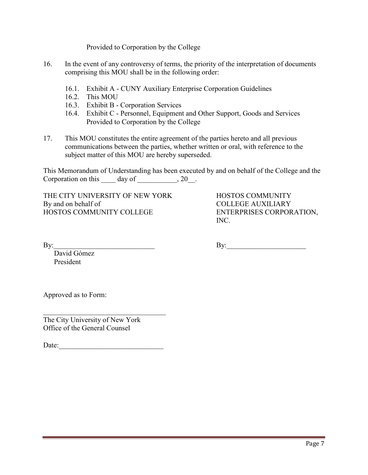Provided to Corporation by the College

- 16. In the event of any controversy of terms, the priority of the interpretation of documents comprising this MOU shall be in the following order:
	- 16.1. Exhibit A CUNY Auxiliary Enterprise Corporation Guidelines
	- 16.2. This MOU
	- 16.3. Exhibit B Corporation Services
	- 16.4. Exhibit C Personnel, Equipment and Other Support, Goods and Services Provided to Corporation by the College
- 17. This MOU constitutes the entire agreement of the parties hereto and all previous communications between the parties, whether written or oral, with reference to the subject matter of this MOU are hereby superseded.

This Memorandum of Understanding has been executed by and on behalf of the College and the Corporation on this  $\rule{1em}{0.15mm}$  day of  $\rule{1.5mm}{}$   $\qquad$   $\qquad$   $\qquad$   $\qquad$   $\qquad$   $\qquad$   $\qquad$   $\qquad$   $\qquad$   $\qquad$   $\qquad$   $\qquad$   $\qquad$   $\qquad$   $\qquad$   $\qquad$   $\qquad$   $\qquad$   $\qquad$   $\qquad$   $\qquad$   $\qquad$   $\qquad$   $\qquad$   $\qquad$   $\qquad$   $\qquad$   $\qquad$ 

THE CITY UNIVERSITY OF NEW YORK HOSTOS COMMUNITY By and on behalf of COLLEGE AUXILIARY<br>
HOSTOS COMMUNITY COLLEGE CORPOR

ENTERPRISES CORPORATION, INC.

By:\_\_\_\_\_\_\_\_\_\_\_\_\_\_\_\_\_\_\_\_\_\_\_\_\_\_\_\_ By:\_\_\_\_\_\_\_\_\_\_\_\_\_\_\_\_\_\_\_\_\_\_

David Gómez President

Approved as to Form:

The City University of New York Office of the General Counsel

Date: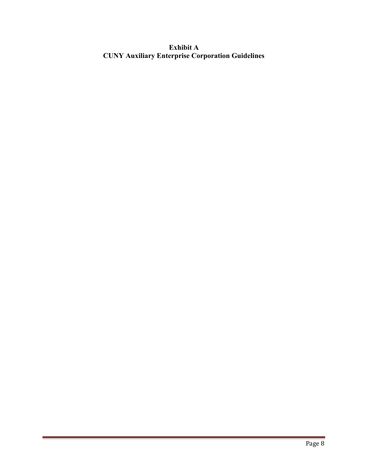**Exhibit A CUNY Auxiliary Enterprise Corporation Guidelines**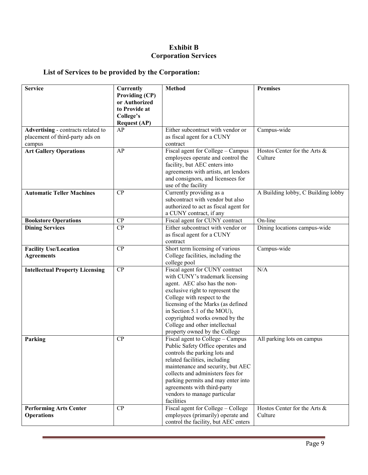## **Exhibit B Corporation Services**

# **List of Services to be provided by the Corporation:**

| <b>Service</b>                         | <b>Currently</b>               | <b>Method</b>                                                   | <b>Premises</b>                    |
|----------------------------------------|--------------------------------|-----------------------------------------------------------------|------------------------------------|
|                                        | <b>Providing (CP)</b>          |                                                                 |                                    |
|                                        | or Authorized<br>to Provide at |                                                                 |                                    |
|                                        | College's                      |                                                                 |                                    |
|                                        | <b>Request (AP)</b>            |                                                                 |                                    |
| Advertising - contracts related to     | AP                             | Either subcontract with vendor or                               | Campus-wide                        |
| placement of third-party ads on        |                                | as fiscal agent for a CUNY                                      |                                    |
| campus                                 |                                | contract                                                        |                                    |
| <b>Art Gallery Operations</b>          | AP                             | Fiscal agent for College - Campus                               | Hostos Center for the Arts &       |
|                                        |                                | employees operate and control the                               | Culture                            |
|                                        |                                | facility, but AEC enters into                                   |                                    |
|                                        |                                | agreements with artists, art lendors                            |                                    |
|                                        |                                | and consignors, and licensees for                               |                                    |
| <b>Automatic Teller Machines</b>       | CP                             | use of the facility<br>Currently providing as a                 | A Building lobby, C Building lobby |
|                                        |                                | subcontract with vendor but also                                |                                    |
|                                        |                                | authorized to act as fiscal agent for                           |                                    |
|                                        |                                | a CUNY contract, if any                                         |                                    |
| <b>Bookstore Operations</b>            | CP                             | Fiscal agent for CUNY contract                                  | On-line                            |
| <b>Dining Services</b>                 | CP                             | Either subcontract with vendor or                               | Dining locations campus-wide       |
|                                        |                                | as fiscal agent for a CUNY                                      |                                    |
|                                        |                                | contract                                                        |                                    |
| <b>Facility Use/Location</b>           | CP                             | Short term licensing of various                                 | Campus-wide                        |
| <b>Agreements</b>                      |                                | College facilities, including the                               |                                    |
|                                        |                                | college pool                                                    |                                    |
| <b>Intellectual Property Licensing</b> | CP                             | Fiscal agent for CUNY contract                                  | N/A                                |
|                                        |                                | with CUNY's trademark licensing                                 |                                    |
|                                        |                                | agent. AEC also has the non-                                    |                                    |
|                                        |                                | exclusive right to represent the<br>College with respect to the |                                    |
|                                        |                                | licensing of the Marks (as defined                              |                                    |
|                                        |                                | in Section 5.1 of the MOU),                                     |                                    |
|                                        |                                | copyrighted works owned by the                                  |                                    |
|                                        |                                | College and other intellectual                                  |                                    |
|                                        |                                | property owned by the College                                   |                                    |
| Parking                                | CP                             | Fiscal agent to College - Campus                                | All parking lots on campus         |
|                                        |                                | Public Safety Office operates and                               |                                    |
|                                        |                                | controls the parking lots and                                   |                                    |
|                                        |                                | related facilities, including                                   |                                    |
|                                        |                                | maintenance and security, but AEC                               |                                    |
|                                        |                                | collects and administers fees for                               |                                    |
|                                        |                                | parking permits and may enter into                              |                                    |
|                                        |                                | agreements with third-party                                     |                                    |
|                                        |                                | vendors to manage particular<br>facilities                      |                                    |
| <b>Performing Arts Center</b>          | CP                             | Fiscal agent for College - College                              | Hostos Center for the Arts &       |
| <b>Operations</b>                      |                                | employees (primarily) operate and                               | Culture                            |
|                                        |                                | control the facility, but AEC enters                            |                                    |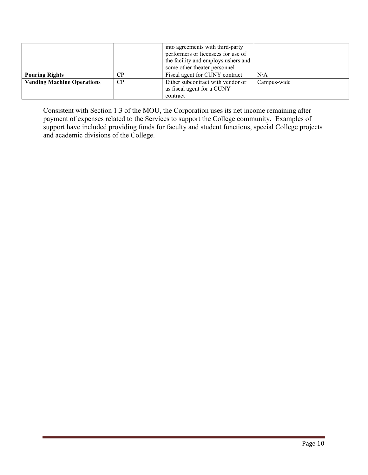|                                   |                | into agreements with third-party<br>performers or licensees for use of<br>the facility and employs ushers and<br>some other theater personnel |             |
|-----------------------------------|----------------|-----------------------------------------------------------------------------------------------------------------------------------------------|-------------|
| <b>Pouring Rights</b>             | $\mathsf{C}$ P | Fiscal agent for CUNY contract                                                                                                                | N/A         |
| <b>Vending Machine Operations</b> | CP             | Either subcontract with vendor or<br>as fiscal agent for a CUNY<br>contract                                                                   | Campus-wide |

Consistent with Section 1.3 of the MOU, the Corporation uses its net income remaining after payment of expenses related to the Services to support the College community. Examples of support have included providing funds for faculty and student functions, special College projects and academic divisions of the College.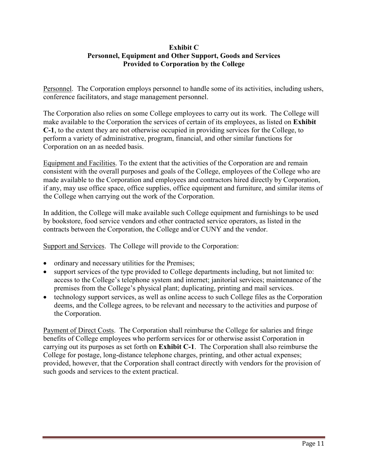## **Exhibit C Personnel, Equipment and Other Support, Goods and Services Provided to Corporation by the College**

Personnel. The Corporation employs personnel to handle some of its activities, including ushers, conference facilitators, and stage management personnel.

The Corporation also relies on some College employees to carry out its work. The College will make available to the Corporation the services of certain of its employees, as listed on **Exhibit C-1**, to the extent they are not otherwise occupied in providing services for the College, to perform a variety of administrative, program, financial, and other similar functions for Corporation on an as needed basis.

Equipment and Facilities. To the extent that the activities of the Corporation are and remain consistent with the overall purposes and goals of the College, employees of the College who are made available to the Corporation and employees and contractors hired directly by Corporation, if any, may use office space, office supplies, office equipment and furniture, and similar items of the College when carrying out the work of the Corporation.

In addition, the College will make available such College equipment and furnishings to be used by bookstore, food service vendors and other contracted service operators, as listed in the contracts between the Corporation, the College and/or CUNY and the vendor.

Support and Services. The College will provide to the Corporation:

- ordinary and necessary utilities for the Premises;
- support services of the type provided to College departments including, but not limited to: access to the College's telephone system and internet; janitorial services; maintenance of the premises from the College's physical plant; duplicating, printing and mail services.
- technology support services, as well as online access to such College files as the Corporation deems, and the College agrees, to be relevant and necessary to the activities and purpose of the Corporation.

Payment of Direct Costs. The Corporation shall reimburse the College for salaries and fringe benefits of College employees who perform services for or otherwise assist Corporation in carrying out its purposes as set forth on **Exhibit C-1**. The Corporation shall also reimburse the College for postage, long-distance telephone charges, printing, and other actual expenses; provided, however, that the Corporation shall contract directly with vendors for the provision of such goods and services to the extent practical.